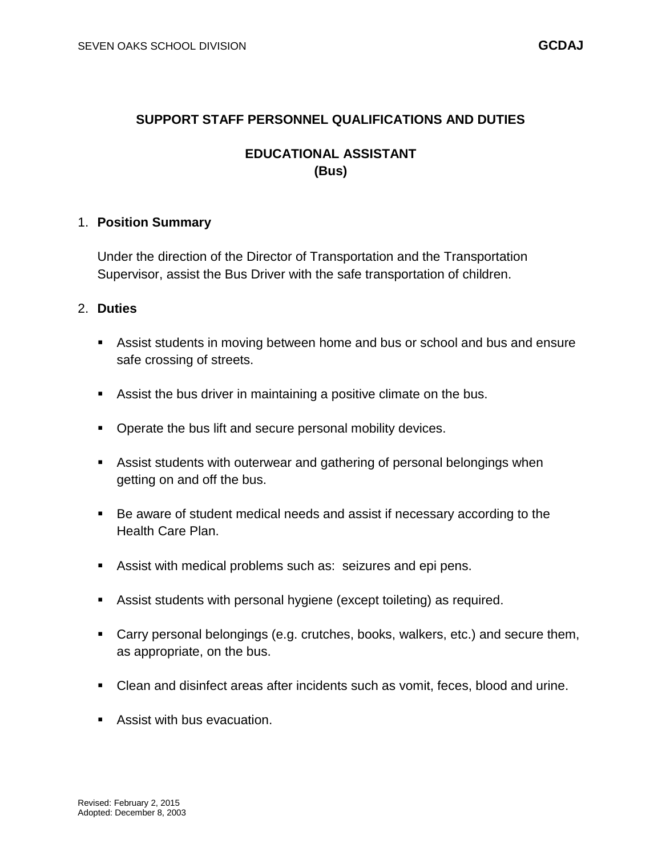#### **SUPPORT STAFF PERSONNEL QUALIFICATIONS AND DUTIES**

## **EDUCATIONAL ASSISTANT (Bus)**

#### 1. **Position Summary**

Under the direction of the Director of Transportation and the Transportation Supervisor, assist the Bus Driver with the safe transportation of children.

### 2. **Duties**

- Assist students in moving between home and bus or school and bus and ensure safe crossing of streets.
- Assist the bus driver in maintaining a positive climate on the bus.
- **Operate the bus lift and secure personal mobility devices.**
- Assist students with outerwear and gathering of personal belongings when getting on and off the bus.
- Be aware of student medical needs and assist if necessary according to the Health Care Plan.
- Assist with medical problems such as: seizures and epi pens.
- Assist students with personal hygiene (except toileting) as required.
- Carry personal belongings (e.g. crutches, books, walkers, etc.) and secure them, as appropriate, on the bus.
- Clean and disinfect areas after incidents such as vomit, feces, blood and urine.
- **Assist with bus evacuation.**